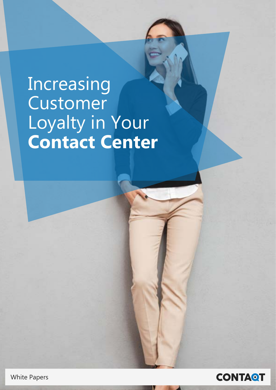# Increasing Customer Loyalty in Your **Contact Center**



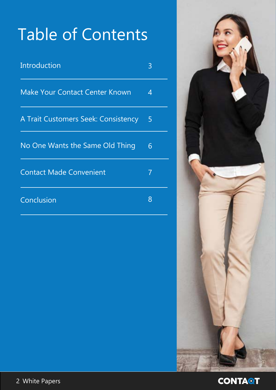## Table of Contents

| Introduction                          |   |
|---------------------------------------|---|
| <b>Make Your Contact Center Known</b> | 4 |
| A Trait Customers Seek: Consistency   | 5 |
| No One Wants the Same Old Thing       | 6 |
| <b>Contact Made Convenient</b>        |   |
| Conclusion                            | 8 |



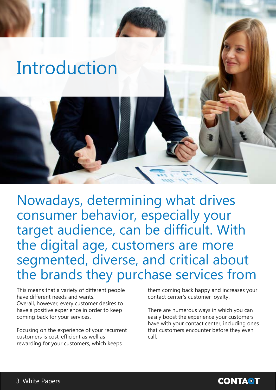### <span id="page-2-0"></span>Introduction



Nowadays, determining what drives consumer behavior, especially your target audience, can be difficult. With the digital age, customers are more segmented, diverse, and critical about the brands they purchase services from

This means that a variety of different people have different needs and wants. Overall, however, every customer desires to have a positive experience in order to keep coming back for your services.

Focusing on the experience of your recurrent customers is cost-efficient as well as rewarding for your customers, which keeps

them coming back happy and increases your contact center's customer loyalty.

There are numerous ways in which you can easily boost the experience your customers have with your contact center, including ones that customers encounter before they even .call

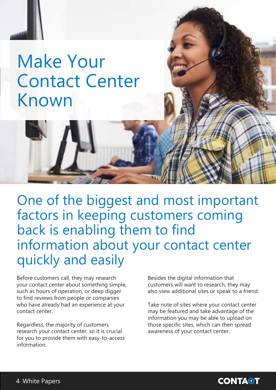<span id="page-3-0"></span>

### **Make Your Contact Center** Known

One of the biggest and most important factors in keeping customers coming back is enabling them to find information about your contact center quickly and easily

Before customers call, they may research your contact center about something simple, such as hours of operation, or deep digger to find reviews from people or companies who have already had an experience at your contact center.

Regardless, the majority of customers research your contact center, so it is crucial for you to provide them with easy-to-access .information

Besides the digital information that customers will want to research, they may also view additional sites or speak to a friend.

Take note of sites where your contact center may be featured and take advantage of the information you may be able to upload on those specific sites, which can then spread awareness of your contact center.

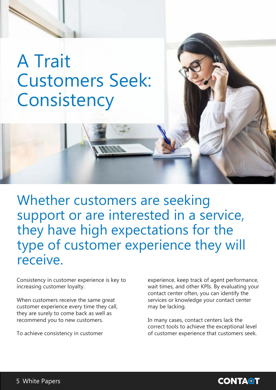### <span id="page-4-0"></span>**A** Trait **Customers Seek: Consistency**

Whether customers are seeking support or are interested in a service, they have high expectations for the type of customer experience they will .receive

Consistency in customer experience is key to increasing customer loyalty.

When customers receive the same great customer experience every time they call, they are surely to come back as well as recommend you to new customers.

To achieve consistency in customer

experience, keep track of agent performance, wait times, and other KPIs. By evaluating your contact center often, you can identify the services or knowledge your contact center may be lacking.

In many cases, contact centers lack the correct tools to achieve the exceptional level of customer experience that customers seek.

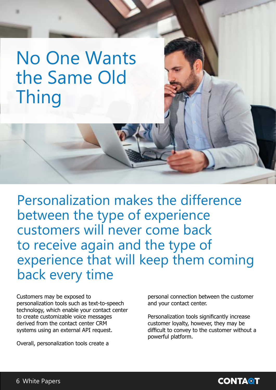### <span id="page-5-0"></span>No One Wants the Same Old Thing

Personalization makes the difference between the type of experience customers will never come back to receive again and the type of experience that will keep them coming back every time

Customers may be exposed to personalization tools such as text-to-speech technology, which enable your contact center to create customizable voice messages derived from the contact center CRM systems using an external API request.

Overall, personalization tools create a

personal connection between the customer and your contact center.

Personalization tools significantly increase customer loyalty, however, they may be difficult to convey to the customer without a powerful platform.

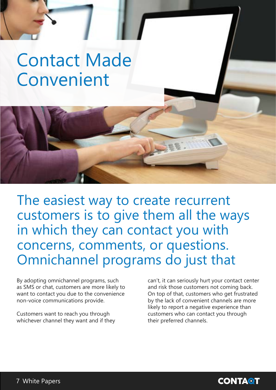# <span id="page-6-0"></span>**Contact Made** Convenient

The easiest way to create recurrent customers is to give them all the ways in which they can contact you with concerns, comments, or questions. Omnichannel programs do just that

By adopting omnichannel programs, such as SMS or chat, customers are more likely to want to contact you due to the convenience non-voice communications provide.

Customers want to reach you through whichever channel they want and if they can't, it can seriously hurt your contact center and risk those customers not coming back. On top of that, customers who get frustrated by the lack of convenient channels are more likely to report a negative experience than customers who can contact you through their preferred channels.